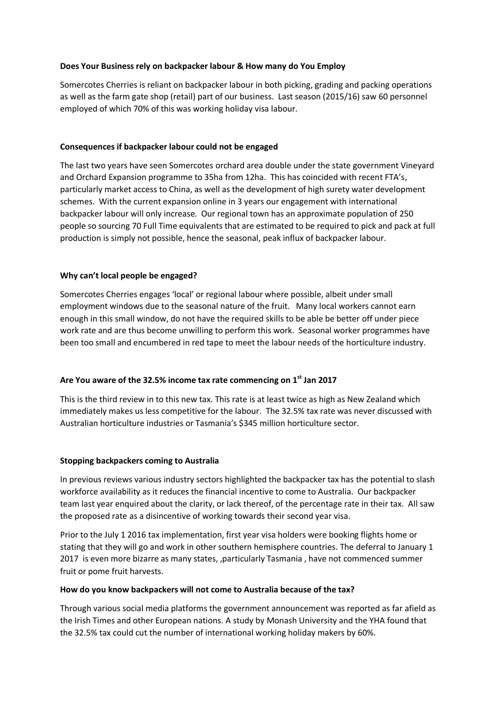# **Does Your Business rely on backpacker labour & How many do You Employ**

Somercotes Cherries is reliant on backpacker labour in both picking, grading and packing operations as well as the farm gate shop (retail) part of our business. Last season (2015/16) saw 60 personnel employed of which 70% of this was working holiday visa labour.

# **Consequences if backpacker labour could not be engaged**

The last two years have seen Somercotes orchard area double under the state government Vineyard and Orchard Expansion programme to 35ha from 12ha. This has coincided with recent FTA's, particularly market access to China, as well as the development of high surety water development schemes. With the current expansion online in 3 years our engagement with international backpacker labour will only increase. Our regional town has an approximate population of 250 people so sourcing 70 Full Time equivalents that are estimated to be required to pick and pack at full production is simply not possible, hence the seasonal, peak influx of backpacker labour.

# **Why can't local people be engaged?**

Somercotes Cherries engages 'local' or regional labour where possible, albeit under small employment windows due to the seasonal nature of the fruit. Many local workers cannot earn enough in this small window, do not have the required skills to be able be better off under piece work rate and are thus become unwilling to perform this work. Seasonal worker programmes have been too small and encumbered in red tape to meet the labour needs of the horticulture industry.

## **Are You aware of the 32.5% income tax rate commencing on 1st Jan 2017**

This is the third review in to this new tax. This rate is at least twice as high as New Zealand which immediately makes us less competitive for the labour. The 32.5% tax rate was never discussed with Australian horticulture industries or Tasmania's \$345 million horticulture sector.

## **Stopping backpackers coming to Australia**

In previous reviews various industry sectors highlighted the backpacker tax has the potential to slash workforce availability as it reduces the financial incentive to come to Australia. Our backpacker team last year enquired about the clarity, or lack thereof, of the percentage rate in their tax. All saw the proposed rate as a disincentive of working towards their second year visa.

Prior to the July 1 2016 tax implementation, first year visa holders were booking flights home or stating that they will go and work in other southern hemisphere countries. The deferral to January 1 2017 is even more bizarre as many states, ,particularly Tasmania , have not commenced summer fruit or pome fruit harvests.

## **How do you know backpackers will not come to Australia because of the tax?**

Through various social media platforms the government announcement was reported as far afield as the Irish Times and other European nations. A study by Monash University and the YHA found that the 32.5% tax could cut the number of international working holiday makers by 60%.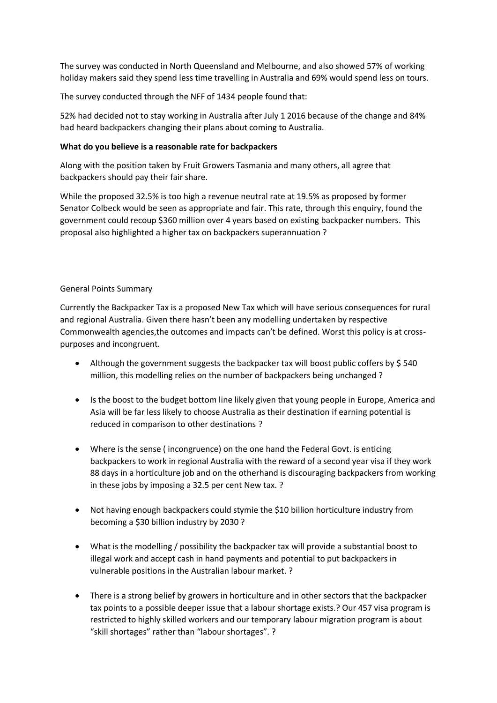The survey was conducted in North Queensland and Melbourne, and also showed 57% of working holiday makers said they spend less time travelling in Australia and 69% would spend less on tours.

The survey conducted through the NFF of 1434 people found that:

52% had decided not to stay working in Australia after July 1 2016 because of the change and 84% had heard backpackers changing their plans about coming to Australia.

## **What do you believe is a reasonable rate for backpackers**

Along with the position taken by Fruit Growers Tasmania and many others, all agree that backpackers should pay their fair share.

While the proposed 32.5% is too high a revenue neutral rate at 19.5% as proposed by former Senator Colbeck would be seen as appropriate and fair. This rate, through this enquiry, found the government could recoup \$360 million over 4 years based on existing backpacker numbers. This proposal also highlighted a higher tax on backpackers superannuation ?

## General Points Summary

Currently the Backpacker Tax is a proposed New Tax which will have serious consequences for rural and regional Australia. Given there hasn't been any modelling undertaken by respective Commonwealth agencies,the outcomes and impacts can't be defined. Worst this policy is at crosspurposes and incongruent.

- Although the government suggests the backpacker tax will boost public coffers by \$ 540 million, this modelling relies on the number of backpackers being unchanged ?
- Is the boost to the budget bottom line likely given that young people in Europe, America and Asia will be far less likely to choose Australia as their destination if earning potential is reduced in comparison to other destinations ?
- Where is the sense ( incongruence) on the one hand the Federal Govt. is enticing backpackers to work in regional Australia with the reward of a second year visa if they work 88 days in a horticulture job and on the otherhand is discouraging backpackers from working in these jobs by imposing a 32.5 per cent New tax. ?
- Not having enough backpackers could stymie the \$10 billion horticulture industry from becoming a \$30 billion industry by 2030 ?
- What is the modelling / possibility the backpacker tax will provide a substantial boost to illegal work and accept cash in hand payments and potential to put backpackers in vulnerable positions in the Australian labour market. ?
- There is a strong belief by growers in horticulture and in other sectors that the backpacker tax points to a possible deeper issue that a labour shortage exists.? Our 457 visa program is restricted to highly skilled workers and our temporary labour migration program is about "skill shortages" rather than "labour shortages". ?